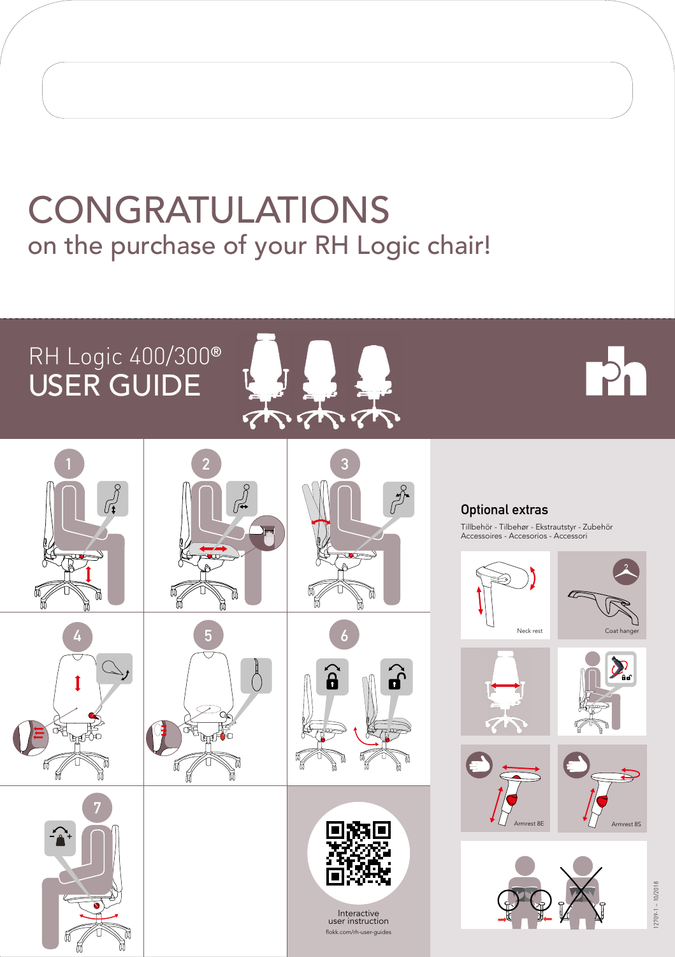## CONGRATULATIONS on the purchase of your RH Logic chair!

## RH Logic 400/300**®** USER GUIDE



# P<sub>n</sub>















Interactive user instruction flokk.com/rh-user-guides **Optional extras** 

Tillbehör - Tilbehør - Ekstrautstyr - Zubehör Accessoires - Accesorios - Accessori